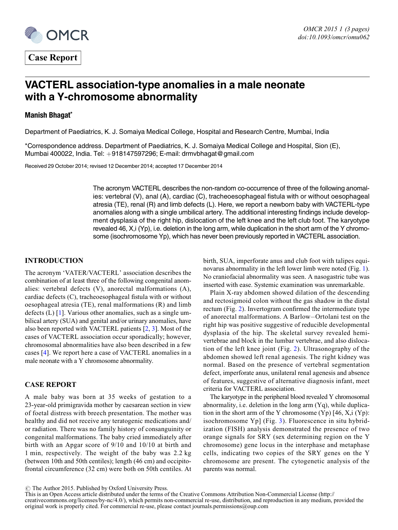

Case Report

# VACTERL association-type anomalies in a male neonate with a Y-chromosome abnormality

# Manish Bhagat\*

Department of Paediatrics, K. J. Somaiya Medical College, Hospital and Research Centre, Mumbai, India

\*Correspondence address. Department of Paediatrics, K. J. Somaiya Medical College and Hospital, Sion (E), Mumbai 400022, India. Tel: +918147597296; E-mail: drmvbhagat@gmail.com

Received 29 October 2014; revised 12 December 2014; accepted 17 December 2014

The acronym VACTERL describes the non-random co-occurrence of three of the following anomalies: vertebral (V), anal (A), cardiac (C), tracheoesophageal fistula with or without oesophageal atresia (TE), renal (R) and limb defects (L). Here, we report a newborn baby with VACTERL-type anomalies along with a single umbilical artery. The additional interesting findings include development dysplasia of the right hip, dislocation of the left knee and the left club foot. The karyotype revealed 46, X,i (Yp), i.e. deletion in the long arm, while duplication in the short arm of the Y chromosome (isochromosome Yp), which has never been previously reported in VACTERL association.

## INTRODUCTION

The acronym 'VATER/VACTERL' association describes the combination of at least three of the following congenital anomalies: vertebral defects (V), anorectal malformations (A), cardiac defects (C), tracheoesophageal fistula with or without oesophageal atresia (TE), renal malformations (R) and limb defects (L) [\[1](#page-2-0)]. Various other anomalies, such as a single umbilical artery (SUA) and genital and/or urinary anomalies, have also been reported with VACTERL patients [\[2](#page-2-0), [3](#page-2-0)]. Most of the cases of VACTERL association occur sporadically; however, chromosomal abnormalities have also been described in a few cases [[4\]](#page-2-0). We report here a case of VACTERL anomalies in a male neonate with a Y chromosome abnormality.

## CASE REPORT

A male baby was born at 35 weeks of gestation to a 23-year-old primigravida mother by caesarean section in view of foetal distress with breech presentation. The mother was healthy and did not receive any teratogenic medications and/ or radiation. There was no family history of consanguinity or congenital malformations. The baby cried immediately after birth with an Apgar score of 9/10 and 10/10 at birth and 1 min, respectively. The weight of the baby was 2.2 kg (between 10th and 50th centiles); length (46 cm) and occipitofrontal circumference (32 cm) were both on 50th centiles. At birth, SUA, imperforate anus and club foot with talipes equinovarus abnormality in the left lower limb were noted (Fig. [1](#page-1-0)). No craniofacial abnormality was seen. A nasogastric tube was inserted with ease. Systemic examination was unremarkable.

Plain X-ray abdomen showed dilation of the descending and rectosigmoid colon without the gas shadow in the distal rectum (Fig. [2](#page-1-0)). Invertogram confirmed the intermediate type of anorectal malformations. A Barlow – Ortolani test on the right hip was positive suggestive of reducible developmental dysplasia of the hip. The skeletal survey revealed hemivertebrae and block in the lumbar vertebrae, and also dislocation of the left knee joint (Fig. [2\)](#page-1-0). Ultrasonography of the abdomen showed left renal agenesis. The right kidney was normal. Based on the presence of vertebral segmentation defect, imperforate anus, unilateral renal agenesis and absence of features, suggestive of alternative diagnosis infant, meet criteria for VACTERL association.

The karyotype in the peripheral blood revealed Y chromosomal abnormality, i.e. deletion in the long arm (Yq), while duplication in the short arm of the Y chromosome  $(Yp)$  [46, X,i  $(Yp)$ : isochromosome Yp] (Fig. [3\)](#page-2-0). Fluorescence in situ hybridization (FISH) analysis demonstrated the presence of two orange signals for SRY (sex determining region on the Y chromosome) gene locus in the interphase and metaphase cells, indicating two copies of the SRY genes on the Y chromosome are present. The cytogenetic analysis of the parents was normal.

 $\odot$  The Author 2015. Published by Oxford University Press.

This is an Open Access article distributed under the terms of the Creative Commons Attribution Non-Commercial License [\(http://](http://creativecommons.org/licenses/by-nc/4.0/) [creativecommons.org/licenses/by-nc/4.0/](http://creativecommons.org/licenses/by-nc/4.0/)), which permits non-commercial re-use, distribution, and reproduction in any medium, provided the original work is properly cited. For commercial re-use, please contact journals.permissions@oup.com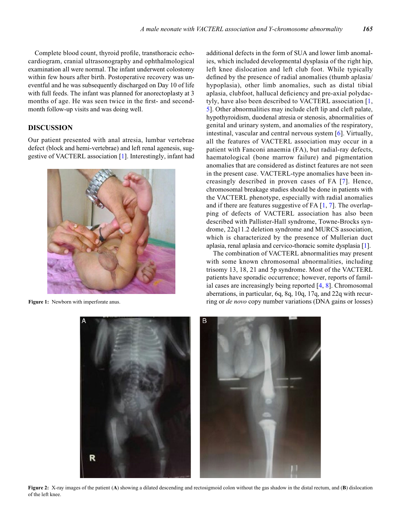<span id="page-1-0"></span>Complete blood count, thyroid profile, transthoracic echocardiogram, cranial ultrasonography and ophthalmological examination all were normal. The infant underwent colostomy within few hours after birth. Postoperative recovery was uneventful and he was subsequently discharged on Day 10 of life with full feeds. The infant was planned for anorectoplasty at 3 months of age. He was seen twice in the first- and secondmonth follow-up visits and was doing well.

# DISCUSSION

Our patient presented with anal atresia, lumbar vertebrae defect (block and hemi-vertebrae) and left renal agenesis, suggestive of VACTERL association [\[1](#page-2-0)]. Interestingly, infant had



Figure 1: Newborn with imperforate anus.

additional defects in the form of SUA and lower limb anomalies, which included developmental dysplasia of the right hip, left knee dislocation and left club foot. While typically defined by the presence of radial anomalies (thumb aplasia/ hypoplasia), other limb anomalies, such as distal tibial aplasia, clubfoot, hallucal deficiency and pre-axial polydactyly, have also been described to VACTERL association [\[1](#page-2-0), [5](#page-2-0)]. Other abnormalities may include cleft lip and cleft palate, hypothyroidism, duodenal atresia or stenosis, abnormalities of genital and urinary system, and anomalies of the respiratory, intestinal, vascular and central nervous system [[6\]](#page-2-0). Virtually, all the features of VACTERL association may occur in a patient with Fanconi anaemia (FA), but radial-ray defects, haematological (bone marrow failure) and pigmentation anomalies that are considered as distinct features are not seen in the present case. VACTERL-type anomalies have been increasingly described in proven cases of FA [[7](#page-2-0)]. Hence, chromosomal breakage studies should be done in patients with the VACTERL phenotype, especially with radial anomalies and if there are features suggestive of FA [\[1](#page-2-0), [7](#page-2-0)]. The overlapping of defects of VACTERL association has also been described with Pallister-Hall syndrome, Towne-Brocks syndrome, 22q11.2 deletion syndrome and MURCS association, which is characterized by the presence of Mullerian duct aplasia, renal aplasia and cervico-thoracic somite dysplasia [[1\]](#page-2-0).

The combination of VACTERL abnormalities may present with some known chromosomal abnormalities, including trisomy 13, 18, 21 and 5p syndrome. Most of the VACTERL patients have sporadic occurrence; however, reports of familial cases are increasingly being reported [\[4](#page-2-0), [8](#page-2-0)]. Chromosomal aberrations, in particular, 6q, 8q, 10q, 17q, and 22q with recurring or de novo copy number variations (DNA gains or losses)



Figure 2: X-ray images of the patient (A) showing a dilated descending and rectosigmoid colon without the gas shadow in the distal rectum, and (B) dislocation of the left knee.